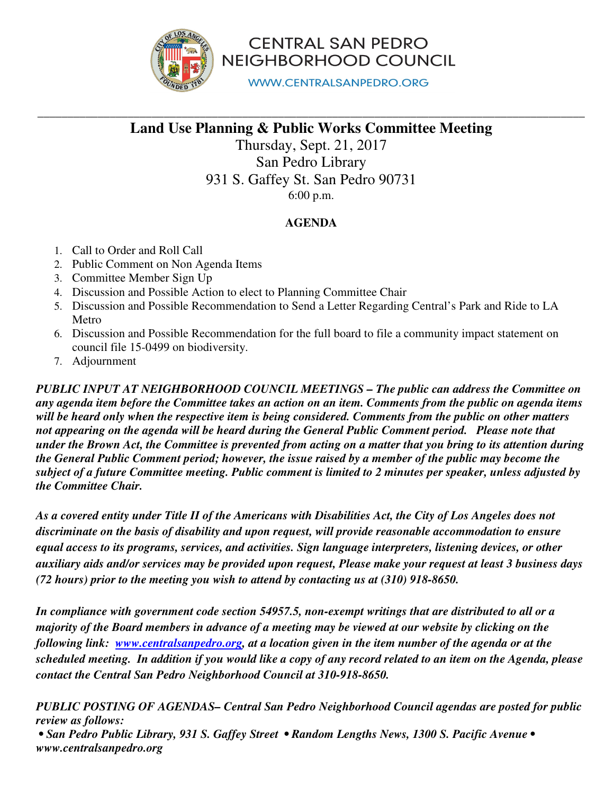

**CENTRAL SAN PEDRO** NEIGHBORHOOD COUNCIL

**WWW.CENTRALSANPEDRO.ORG** 

## **\_\_\_\_\_\_\_\_\_\_\_\_\_\_\_\_\_\_\_\_\_\_\_\_\_\_\_\_\_\_\_\_\_\_\_\_\_\_\_\_\_\_\_\_\_\_\_\_\_\_\_\_\_\_\_\_\_\_\_\_\_\_\_\_\_\_\_\_\_\_\_\_\_\_\_\_\_\_\_\_\_\_\_\_\_\_\_\_\_\_\_ Land Use Planning & Public Works Committee Meeting**

Thursday, Sept. 21, 2017 San Pedro Library 931 S. Gaffey St. San Pedro 90731 6:00 p.m.

## **AGENDA**

- 1. Call to Order and Roll Call
- 2. Public Comment on Non Agenda Items
- 3. Committee Member Sign Up
- 4. Discussion and Possible Action to elect to Planning Committee Chair
- 5. Discussion and Possible Recommendation to Send a Letter Regarding Central's Park and Ride to LA Metro
- 6. Discussion and Possible Recommendation for the full board to file a community impact statement on council file 15-0499 on biodiversity.
- 7. Adjournment

*PUBLIC INPUT AT NEIGHBORHOOD COUNCIL MEETINGS – The public can address the Committee on any agenda item before the Committee takes an action on an item. Comments from the public on agenda items will be heard only when the respective item is being considered. Comments from the public on other matters not appearing on the agenda will be heard during the General Public Comment period. Please note that under the Brown Act, the Committee is prevented from acting on a matter that you bring to its attention during the General Public Comment period; however, the issue raised by a member of the public may become the subject of a future Committee meeting. Public comment is limited to 2 minutes per speaker, unless adjusted by the Committee Chair.*

*As a covered entity under Title II of the Americans with Disabilities Act, the City of Los Angeles does not discriminate on the basis of disability and upon request, will provide reasonable accommodation to ensure equal access to its programs, services, and activities. Sign language interpreters, listening devices, or other auxiliary aids and/or services may be provided upon request, Please make your request at least 3 business days (72 hours) prior to the meeting you wish to attend by contacting us at (310) 918-8650.* 

*In compliance with government code section 54957.5, non-exempt writings that are distributed to all or a majority of the Board members in advance of a meeting may be viewed at our website by clicking on the following link: www.centralsanpedro.org, at a location given in the item number of the agenda or at the scheduled meeting. In addition if you would like a copy of any record related to an item on the Agenda, please contact the Central San Pedro Neighborhood Council at 310-918-8650.*

*PUBLIC POSTING OF AGENDAS– Central San Pedro Neighborhood Council agendas are posted for public review as follows:* 

 *• San Pedro Public Library, 931 S. Gaffey Street • Random Lengths News, 1300 S. Pacific Avenue • www.centralsanpedro.org*